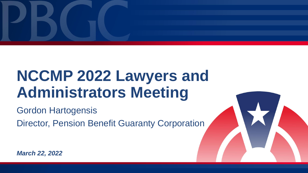

# **NCCMP 2022 Lawyers and Administrators Meeting**

Gordon Hartogensis

Director, Pension Benefit Guaranty Corporation



*March 22, 2022*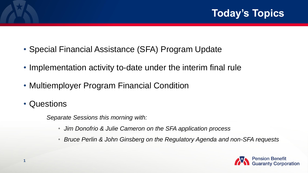- Special Financial Assistance (SFA) Program Update
- Implementation activity to-date under the interim final rule
- Multiemployer Program Financial Condition
- Questions

**1**

*Separate Sessions this morning with:*

- *Jim Donofrio & Julie Cameron on the SFA application process*
- *Bruce Perlin & John Ginsberg on the Regulatory Agenda and non-SFA requests*

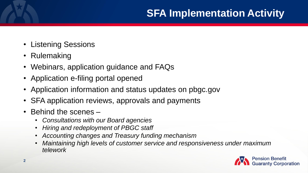## **SFA Implementation Activity**

- Listening Sessions
- Rulemaking
- Webinars, application guidance and FAQs
- Application e-filing portal opened
- Application information and status updates on pbgc.gov
- SFA application reviews, approvals and payments
- Behind the scenes
	- *Consultations with our Board agencies*
	- *Hiring and redeployment of PBGC staff*
	- *Accounting changes and Treasury funding mechanism*
	- *Maintaining high levels of customer service and responsiveness under maximum telework*

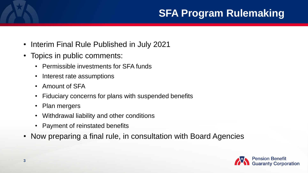## **SFA Program Rulemaking**

- Interim Final Rule Published in July 2021
- Topics in public comments:
	- Permissible investments for SFA funds
	- Interest rate assumptions
	- Amount of SFA
	- Fiduciary concerns for plans with suspended benefits
	- Plan mergers
	- Withdrawal liability and other conditions
	- Payment of reinstated benefits
- Now preparing a final rule, in consultation with Board Agencies

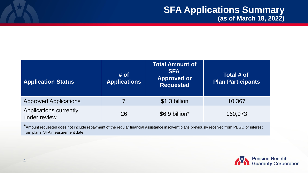| <b>Application Status</b>                     | # of<br><b>Applications</b> | <b>Total Amount of</b><br><b>SFA</b><br><b>Approved or</b><br><b>Requested</b> | Total # of<br><b>Plan Participants</b> |
|-----------------------------------------------|-----------------------------|--------------------------------------------------------------------------------|----------------------------------------|
| <b>Approved Applications</b>                  |                             | \$1.3 billion                                                                  | 10,367                                 |
| <b>Applications currently</b><br>under review | 26                          | \$6.9 billion*                                                                 | 160,973                                |

\*Amount requested does not include repayment of the regular financial assistance insolvent plans previously received from PBGC or interest from plans' SFA measurement date.

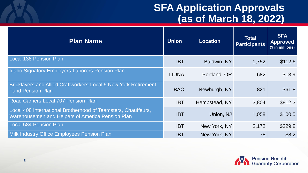### **SFA Application Approvals (as of March 18, 2022)**

| <b>Plan Name</b>                                                                                                  | <b>Union</b> | <b>Location</b> | Total<br><b>Participants</b> | <b>SFA</b><br><b>Approved</b><br>(\$ in millions) |
|-------------------------------------------------------------------------------------------------------------------|--------------|-----------------|------------------------------|---------------------------------------------------|
| Local 138 Pension Plan                                                                                            | <b>IBT</b>   | Baldwin, NY     | 1,752                        | \$112.6                                           |
| Idaho Signatory Employers-Laborers Pension Plan                                                                   | <b>LIUNA</b> | Portland, OR    | 682                          | \$13.9                                            |
| <b>Bricklayers and Allied Craftworkers Local 5 New York Retirement</b><br><b>Fund Pension Plan</b>                | <b>BAC</b>   | Newburgh, NY    | 821                          | \$61.8                                            |
| <b>Road Carriers Local 707 Pension Plan</b>                                                                       | <b>IBT</b>   | Hempstead, NY   | 3,804                        | \$812.3                                           |
| Local 408 International Brotherhood of Teamsters, Chauffeurs,<br>Warehousemen and Helpers of America Pension Plan | <b>IBT</b>   | Union, NJ       | 1,058                        | \$100.5                                           |
| <b>Local 584 Pension Plan</b>                                                                                     | <b>IBT</b>   | New York, NY    | 2,172                        | \$229.8                                           |
| Milk Industry Office Employees Pension Plan                                                                       | <b>IBT</b>   | New York, NY    | 78                           | \$8.2                                             |

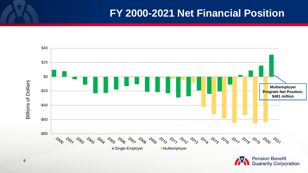#### **FY 2000-2021 Net Financial Position**



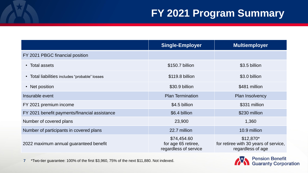|                                                | <b>Single-Employer</b>                                      | <b>Multiemployer</b>                                                     |
|------------------------------------------------|-------------------------------------------------------------|--------------------------------------------------------------------------|
| FY 2021 PBGC financial position                |                                                             |                                                                          |
| • Total assets                                 | \$150.7 billion                                             | \$3.5 billion                                                            |
| • Total liabilities includes "probable" losses | \$119.8 billion                                             | \$3.0 billion                                                            |
| • Net position                                 | \$30.9 billion                                              | \$481 million                                                            |
| Insurable event                                | <b>Plan Termination</b>                                     | <b>Plan Insolvency</b>                                                   |
| FY 2021 premium income                         | \$4.5 billion                                               | \$331 million                                                            |
| FY 2021 benefit payments/financial assistance  | \$6.4 billion                                               | \$230 million                                                            |
| Number of covered plans                        | 23,900                                                      | 1,360                                                                    |
| Number of participants in covered plans        | 22.7 million                                                | 10.9 million                                                             |
| 2022 maximum annual guaranteed benefit         | \$74,454.60<br>for age 65 retiree,<br>regardless of service | $$12,870*$<br>for retiree with 30 years of service,<br>regardless of age |

**7** \*Two-tier guarantee: 100% of the first \$3,960, 75% of the next \$11,880. Not indexed.

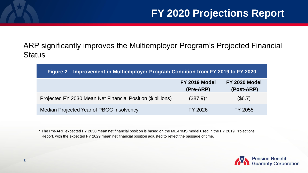ARP significantly improves the Multiemployer Program's Projected Financial **Status** 

| Figure 2 – Improvement in Multiemployer Program Condition from FY 2019 to FY 2020 |                            |                             |  |  |  |
|-----------------------------------------------------------------------------------|----------------------------|-----------------------------|--|--|--|
|                                                                                   | FY 2019 Model<br>(Pre-ARP) | FY 2020 Model<br>(Post-ARP) |  |  |  |
| Projected FY 2030 Mean Net Financial Position (\$ billions)                       | $($87.9)^*$                | (\$6.7)                     |  |  |  |
| Median Projected Year of PBGC Insolvency                                          | FY 2026                    | FY 2055                     |  |  |  |

\* The Pre-ARP expected FY 2030 mean net financial position is based on the ME-PIMS model used in the FY 2019 Projections Report, with the expected FY 2029 mean net financial position adjusted to reflect the passage of time.